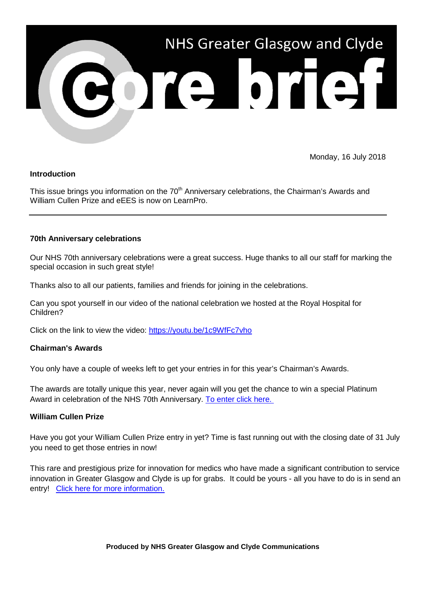

Monday, 16 July 2018

### **Introduction**

This issue brings you information on the 70<sup>th</sup> Anniversary celebrations, the Chairman's Awards and William Cullen Prize and eEES is now on LearnPro.

### **70th Anniversary celebrations**

Our NHS 70th anniversary celebrations were a great success. Huge thanks to all our staff for marking the special occasion in such great style!

Thanks also to all our patients, families and friends for joining in the celebrations.

Can you spot yourself in our video of the national celebration we hosted at the Royal Hospital for Children?

Click on the link to view the video:<https://youtu.be/1c9WfFc7vho>

# **Chairman's Awards**

You only have a couple of weeks left to get your entries in for this year's Chairman's Awards.

The awards are totally unique this year, never again will you get the chance to win a special Platinum Award in celebration of the NHS 70th Anniversary. [To enter click here.](http://www.nhsggc.org.uk/working-with-us/staff-communications/staff-news/2018/july/stories/it-s-your-last-chance-to-enter-special-platinum-chairman-s-awards/?utm_source=Social_Media&utm_medium=Twitter&utm_campaign=SN_July2018_Chairmans_Awards) 

# **William Cullen Prize**

Have you got your William Cullen Prize entry in yet? Time is fast running out with the closing date of 31 July you need to get those entries in now!

This rare and prestigious prize for innovation for medics who have made a significant contribution to service innovation in Greater Glasgow and Clyde is up for grabs. It could be yours - all you have to do is in send an entry! [Click here for more information.](http://www.nhsggc.org.uk/working-with-us/staff-communications/staff-news/2018/july/stories/still-time-to-win-innovation-prize/?utm_source=Social_Media&utm_medium=Facebook&utm_campaign=SN_July2018_William_Cullen)